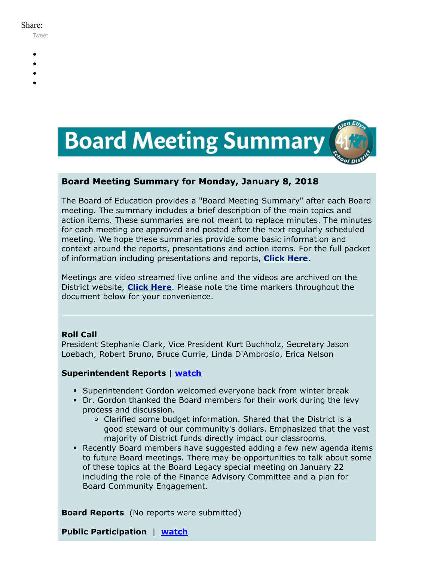#### Share:

[Tweet](https://twitter.com/intent/tweet?original_referer=https%3A%2F%2Fmyemail.constantcontact.com%2FBoard-Meeting-Summary-for-January-8--2018.html%3Fsoid%3D1102200973173%26aid%3DMOFL_TaXRns&ref_src=twsrc%5Etfw&text=Board%20Meeting%20Summary%20for%20January%208%2C%202018&tw_p=tweetbutton&url=https%3A%2F%2Fmyemail.constantcontact.com%2FBoard-Meeting-Summary-for-January-8--2018.html%3Fsoid%3D1102200973173%26aid%3DMOFL_TaXRns)

- 
- 
- 
- 
- 



# **Board Meeting Summary for Monday, January 8, 2018**

The Board of Education provides a "Board Meeting Summary" after each Board meeting. The summary includes a brief description of the main topics and action items. These summaries are not meant to replace minutes. The minutes for each meeting are approved and posted after the next regularly scheduled meeting. We hope these summaries provide some basic information and context around the reports, presentations and action items. For the full packet of information including presentations and reports, **[Click Here](http://www.d41.org/domain/36)**.

Meetings are video streamed live online and the videos are archived on the District website, **[Click Here](http://www.d41.org/domain/463)**. Please note the time markers throughout the document below for your convenience.

# **Roll Call**

President Stephanie Clark, Vice President Kurt Buchholz, Secretary Jason Loebach, Robert Bruno, Bruce Currie, Linda D'Ambrosio, Erica Nelson

# **Superintendent Reports** | **[watch](https://youtu.be/kBlNEGdt5mY?t=38s)**

- Superintendent Gordon welcomed everyone back from winter break
- Dr. Gordon thanked the Board members for their work during the levy process and discussion.
	- Clarified some budget information. Shared that the District is a good steward of our community's dollars. Emphasized that the vast majority of District funds directly impact our classrooms.
- Recently Board members have suggested adding a few new agenda items to future Board meetings. There may be opportunities to talk about some of these topics at the Board Legacy special meeting on January 22 including the role of the Finance Advisory Committee and a plan for Board Community Engagement.

**Board Reports** (No reports were submitted)

**Public Participation** | **[watch](https://youtu.be/kBlNEGdt5mY?t=5m23s)**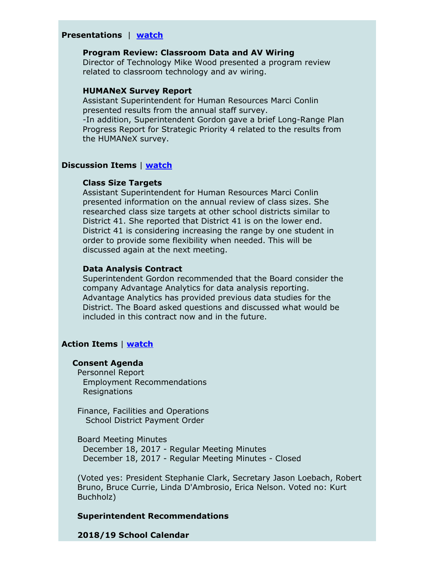## **Presentations** | **[watch](https://youtu.be/kBlNEGdt5mY?t=11m01s)**

## **Program Review: Classroom Data and AV Wiring**

Director of Technology Mike Wood presented a program review related to classroom technology and av wiring.

#### **HUMANeX Survey Report**

Assistant Superintendent for Human Resources Marci Conlin presented results from the annual staff survey. -In addition, Superintendent Gordon gave a brief Long-Range Plan Progress Report for Strategic Priority 4 related to the results from the HUMANeX survey.

#### **Discussion Items** | **[watch](https://youtu.be/kBlNEGdt5mY?t=1h04m50s)**

#### **Class Size Targets**

Assistant Superintendent for Human Resources Marci Conlin presented information on the annual review of class sizes. She researched class size targets at other school districts similar to District 41. She reported that District 41 is on the lower end. District 41 is considering increasing the range by one student in order to provide some flexibility when needed. This will be discussed again at the next meeting.

#### **Data Analysis Contract**

Superintendent Gordon recommended that the Board consider the company Advantage Analytics for data analysis reporting. Advantage Analytics has provided previous data studies for the District. The Board asked questions and discussed what would be included in this contract now and in the future.

#### **Action Items** | **[watch](https://youtu.be/kBlNEGdt5mY?t=2h10m25s)**

## **Consent Agenda**

Personnel Report Employment Recommendations Resignations

Finance, Facilities and Operations School District Payment Order

Board Meeting Minutes December 18, 2017 - Regular Meeting Minutes December 18, 2017 - Regular Meeting Minutes - Closed

(Voted yes: President Stephanie Clark, Secretary Jason Loebach, Robert Bruno, Bruce Currie, Linda D'Ambrosio, Erica Nelson. Voted no: Kurt Buchholz)

#### **Superintendent Recommendations**

**2018/19 School Calendar**